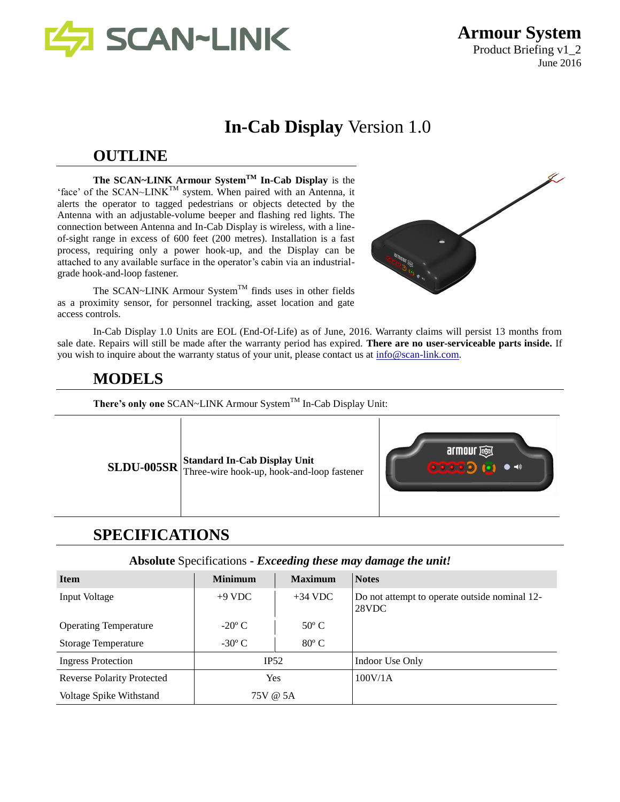

**Armour System** Product Briefing v1\_2 June 2016

# **In-Cab Display** Version 1.0

## **OUTLINE**

**The SCAN~LINK Armour SystemTM In-Cab Display** is the 'face' of the SCAN~LINK<sup>TM</sup> system. When paired with an Antenna, it alerts the operator to tagged pedestrians or objects detected by the Antenna with an adjustable-volume beeper and flashing red lights. The connection between Antenna and In-Cab Display is wireless, with a lineof-sight range in excess of 600 feet (200 metres). Installation is a fast process, requiring only a power hook-up, and the Display can be attached to any available surface in the operator's cabin via an industrialgrade hook-and-loop fastener.

The SCAN~LINK Armour System<sup>TM</sup> finds uses in other fields as a proximity sensor, for personnel tracking, asset location and gate access controls.

In-Cab Display 1.0 Units are EOL (End-Of-Life) as of June, 2016. Warranty claims will persist 13 months from sale date. Repairs will still be made after the warranty period has expired. **There are no user-serviceable parts inside.** If you wish to inquire about the warranty status of your unit, please contact us at [info@scan-link.com.](mailto:info@scan-link.com)

## **MODELS**

There's only one SCAN~LINK Armour System<sup>TM</sup> In-Cab Display Unit:

**SLDU-005SR** Standard In-Cab Display Unit Three-wire hook-up, hook-and-loop fastener



# **SPECIFICATIONS**

#### **Absolute** Specifications **-** *Exceeding these may damage the unit!*

| <b>Item</b>                       | <b>Minimum</b>  | <b>Maximum</b> | <b>Notes</b>                                           |
|-----------------------------------|-----------------|----------------|--------------------------------------------------------|
| Input Voltage                     | $+9$ VDC        | $+34$ VDC      | Do not attempt to operate outside nominal 12-<br>28VDC |
| <b>Operating Temperature</b>      | $-20^{\circ}$ C | $50^{\circ}$ C |                                                        |
| <b>Storage Temperature</b>        | $-30^{\circ}$ C | $80^{\circ}$ C |                                                        |
| <b>Ingress Protection</b>         | IP52            |                | Indoor Use Only                                        |
| <b>Reverse Polarity Protected</b> | Yes             |                | 100V/1A                                                |
| Voltage Spike Withstand           | 75V @ 5A        |                |                                                        |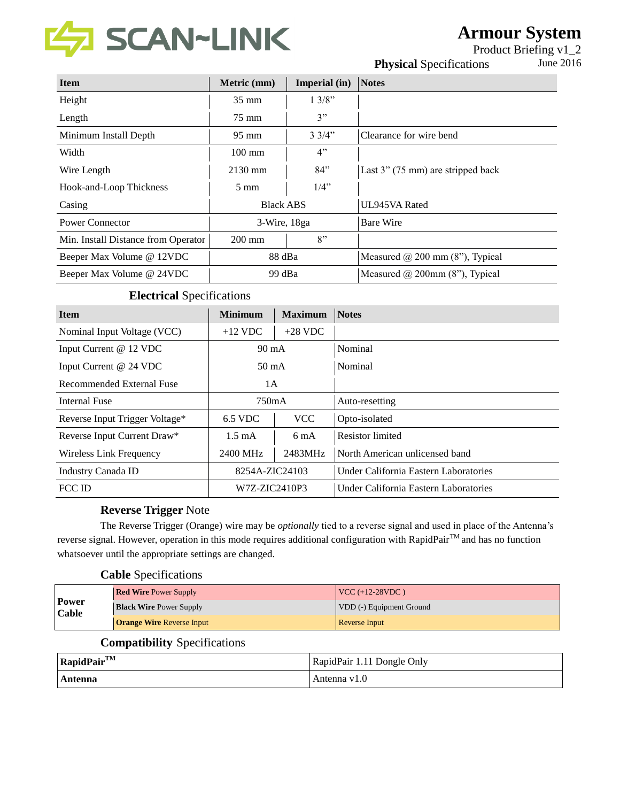

# **Armour System**

Product Briefing v1\_2 **Physical Specifications** June 2016

| <b>Item</b>                         | Metric (mm)      | Imperial (in)   | <b>Notes</b>                           |
|-------------------------------------|------------------|-----------------|----------------------------------------|
| Height                              | $35 \text{ mm}$  | 13/8"           |                                        |
| Length                              | $75 \text{ mm}$  | 3"              |                                        |
| Minimum Install Depth               | $95 \text{ mm}$  | $3 \frac{3}{4}$ | Clearance for wire bend                |
| Width                               | $100 \text{ mm}$ | 4"              |                                        |
| Wire Length                         | $2130$ mm        | 84"             | Last $3''$ (75 mm) are stripped back   |
| Hook-and-Loop Thickness             | $5 \text{ mm}$   | $1/4$ "         |                                        |
| Casing                              | <b>Black ABS</b> |                 | UL945VA Rated                          |
| Power Connector                     | 3-Wire, 18ga     |                 | <b>Bare Wire</b>                       |
| Min. Install Distance from Operator | $200 \text{ mm}$ | 8"              |                                        |
| Beeper Max Volume @ 12VDC           | 88 dBa           |                 | Measured $\omega$ 200 mm (8"), Typical |
| Beeper Max Volume @ 24VDC           | 99 dBa           |                 | Measured $\omega$ 200mm (8"), Typical  |

### **Electrical** Specifications

| <b>Item</b>                    | <b>Minimum</b>   | <b>Maximum</b> | <b>Notes</b>                          |
|--------------------------------|------------------|----------------|---------------------------------------|
| Nominal Input Voltage (VCC)    | $+12$ VDC        | $+28$ VDC      |                                       |
| Input Current @ 12 VDC         | $90 \text{ mA}$  |                | Nominal                               |
| Input Current @ 24 VDC         | $50 \text{ mA}$  |                | Nominal                               |
| Recommended External Fuse      | 1A               |                |                                       |
| Internal Fuse                  | 750mA            |                | Auto-resetting                        |
| Reverse Input Trigger Voltage* | 6.5 VDC          | <b>VCC</b>     | Opto-isolated                         |
| Reverse Input Current Draw*    | $1.5 \text{ mA}$ | $6 \text{ mA}$ | <b>Resistor</b> limited               |
| Wireless Link Frequency        | 2400 MHz         | 2483MHz        | North American unlicensed band        |
| Industry Canada ID             | 8254A-ZIC24103   |                | Under California Eastern Laboratories |
| <b>FCC ID</b>                  | W7Z-ZIC2410P3    |                | Under California Eastern Laboratories |

#### **Reverse Trigger** Note

The Reverse Trigger (Orange) wire may be *optionally* tied to a reverse signal and used in place of the Antenna's reverse signal. However, operation in this mode requires additional configuration with RapidPair™ and has no function whatsoever until the appropriate settings are changed.

### **Cable** Specifications

|                              | <b>Red Wire Power Supply</b>     | $ VCC (+12-28VDC)$       |
|------------------------------|----------------------------------|--------------------------|
| <b>Power</b><br><b>Cable</b> | <b>Black Wire Power Supply</b>   | VDD (-) Equipment Ground |
|                              | <b>Orange Wire Reverse Input</b> | Reverse Input            |

#### **Compatibility** Specifications

| $RapidPair^{TM}$ | RapidPair 1.11 Dongle Only |
|------------------|----------------------------|
| Antenna          | Antenna v1.0               |